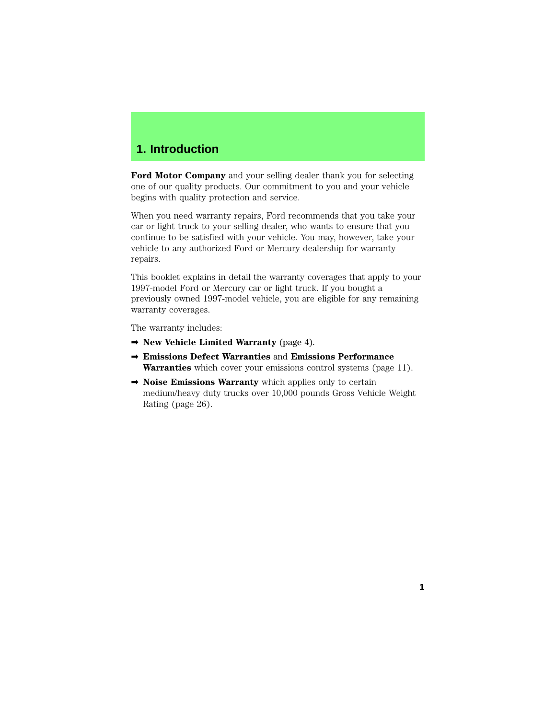# **1. Introduction**

**Ford Motor Company** and your selling dealer thank you for selecting one of our quality products. Our commitment to you and your vehicle begins with quality protection and service.

When you need warranty repairs, Ford recommends that you take your car or light truck to your selling dealer, who wants to ensure that you continue to be satisfied with your vehicle. You may, however, take your vehicle to any authorized Ford or Mercury dealership for warranty repairs.

This booklet explains in detail the warranty coverages that apply to your 1997-model Ford or Mercury car or light truck. If you bought a previously owned 1997-model vehicle, you are eligible for any remaining warranty coverages.

The warranty includes:

- ➡ **New Vehicle Limited Warranty** (page 4).
- ➡ **Emissions Defect Warranties** and **Emissions Performance Warranties** which cover your emissions control systems (page 11).
- **► Noise Emissions Warranty** which applies only to certain medium/heavy duty trucks over 10,000 pounds Gross Vehicle Weight Rating (page 26).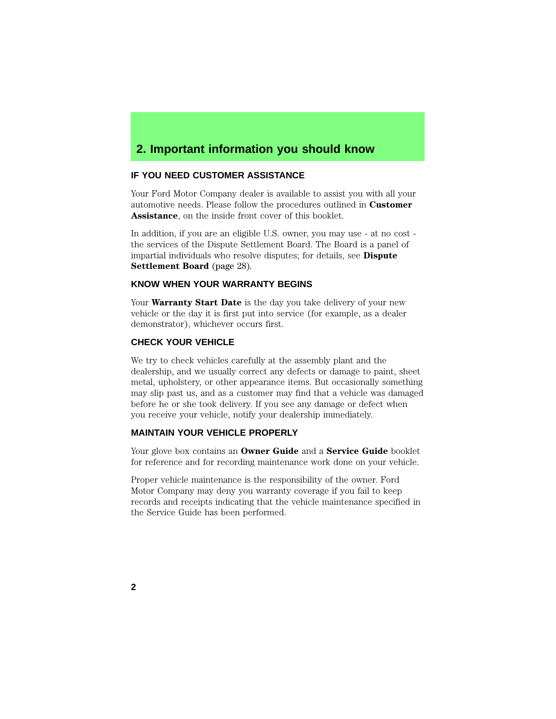# **2. Important information you should know**

### **IF YOU NEED CUSTOMER ASSISTANCE**

Your Ford Motor Company dealer is available to assist you with all your automotive needs. Please follow the procedures outlined in **Customer Assistance**, on the inside front cover of this booklet.

In addition, if you are an eligible U.S. owner, you may use - at no cost the services of the Dispute Settlement Board. The Board is a panel of impartial individuals who resolve disputes; for details, see **Dispute Settlement Board** (page 28).

### **KNOW WHEN YOUR WARRANTY BEGINS**

Your **Warranty Start Date** is the day you take delivery of your new vehicle or the day it is first put into service (for example, as a dealer demonstrator), whichever occurs first.

## **CHECK YOUR VEHICLE**

We try to check vehicles carefully at the assembly plant and the dealership, and we usually correct any defects or damage to paint, sheet metal, upholstery, or other appearance items. But occasionally something may slip past us, and as a customer may find that a vehicle was damaged before he or she took delivery. If you see any damage or defect when you receive your vehicle, notify your dealership immediately.

## **MAINTAIN YOUR VEHICLE PROPERLY**

Your glove box contains an **Owner Guide** and a **Service Guide** booklet for reference and for recording maintenance work done on your vehicle.

Proper vehicle maintenance is the responsibility of the owner. Ford Motor Company may deny you warranty coverage if you fail to keep records and receipts indicating that the vehicle maintenance specified in the Service Guide has been performed.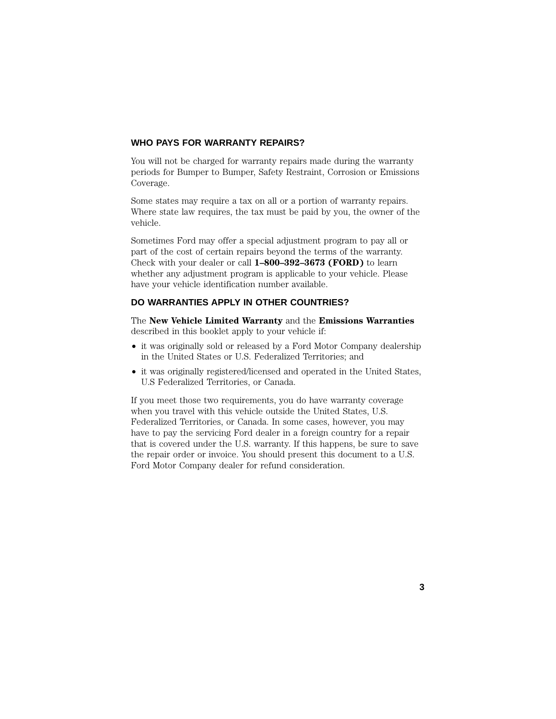## **WHO PAYS FOR WARRANTY REPAIRS?**

You will not be charged for warranty repairs made during the warranty periods for Bumper to Bumper, Safety Restraint, Corrosion or Emissions Coverage.

Some states may require a tax on all or a portion of warranty repairs. Where state law requires, the tax must be paid by you, the owner of the vehicle.

Sometimes Ford may offer a special adjustment program to pay all or part of the cost of certain repairs beyond the terms of the warranty. Check with your dealer or call **1–800–392–3673 (FORD)** to learn whether any adjustment program is applicable to your vehicle. Please have your vehicle identification number available.

## **DO WARRANTIES APPLY IN OTHER COUNTRIES?**

The **New Vehicle Limited Warranty** and the **Emissions Warranties** described in this booklet apply to your vehicle if:

- it was originally sold or released by a Ford Motor Company dealership in the United States or U.S. Federalized Territories; and
- it was originally registered/licensed and operated in the United States, U.S Federalized Territories, or Canada.

If you meet those two requirements, you do have warranty coverage when you travel with this vehicle outside the United States, U.S. Federalized Territories, or Canada. In some cases, however, you may have to pay the servicing Ford dealer in a foreign country for a repair that is covered under the U.S. warranty. If this happens, be sure to save the repair order or invoice. You should present this document to a U.S. Ford Motor Company dealer for refund consideration.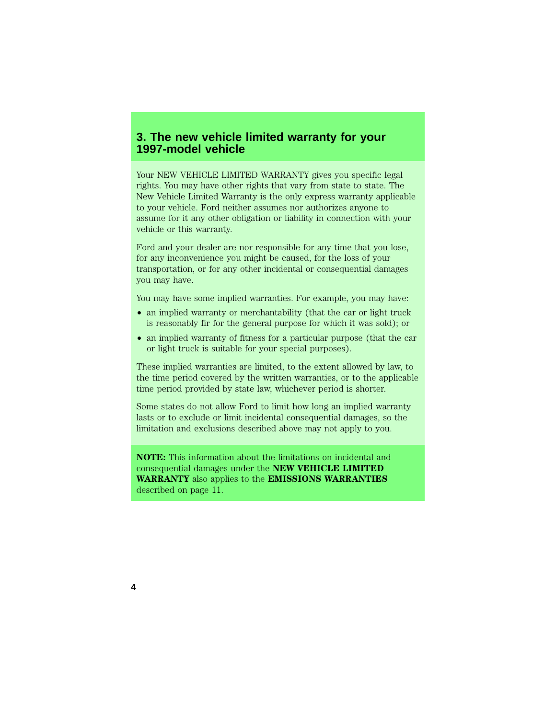# **3. The new vehicle limited warranty for your 1997-model vehicle**

Your NEW VEHICLE LIMITED WARRANTY gives you specific legal rights. You may have other rights that vary from state to state. The New Vehicle Limited Warranty is the only express warranty applicable to your vehicle. Ford neither assumes nor authorizes anyone to assume for it any other obligation or liability in connection with your vehicle or this warranty.

Ford and your dealer are nor responsible for any time that you lose, for any inconvenience you might be caused, for the loss of your transportation, or for any other incidental or consequential damages you may have.

You may have some implied warranties. For example, you may have:

- an implied warranty or merchantability (that the car or light truck is reasonably fir for the general purpose for which it was sold); or
- an implied warranty of fitness for a particular purpose (that the car or light truck is suitable for your special purposes).

These implied warranties are limited, to the extent allowed by law, to the time period covered by the written warranties, or to the applicable time period provided by state law, whichever period is shorter.

Some states do not allow Ford to limit how long an implied warranty lasts or to exclude or limit incidental consequential damages, so the limitation and exclusions described above may not apply to you.

**NOTE:** This information about the limitations on incidental and consequential damages under the **NEW VEHICLE LIMITED WARRANTY** also applies to the **EMISSIONS WARRANTIES** described on page 11.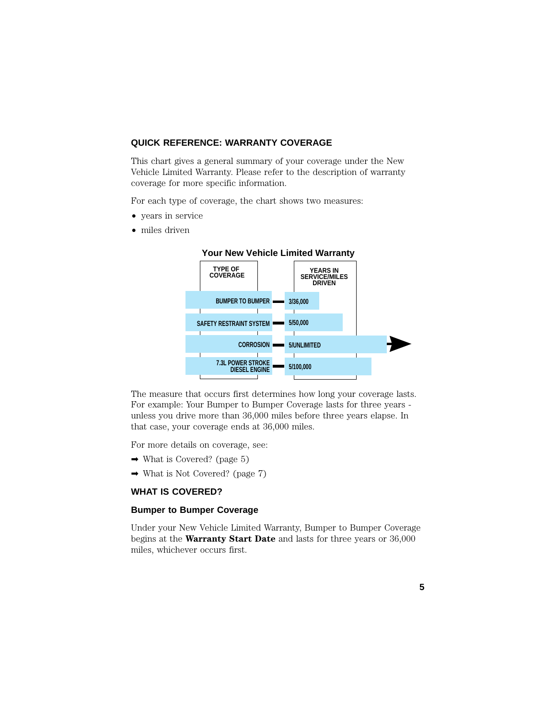## **QUICK REFERENCE: WARRANTY COVERAGE**

This chart gives a general summary of your coverage under the New Vehicle Limited Warranty. Please refer to the description of warranty coverage for more specific information.

For each type of coverage, the chart shows two measures:

- years in service
- miles driven



## **Your New Vehicle Limited Warranty**

The measure that occurs first determines how long your coverage lasts. For example: Your Bumper to Bumper Coverage lasts for three years unless you drive more than 36,000 miles before three years elapse. In that case, your coverage ends at 36,000 miles.

For more details on coverage, see:

- $\rightarrow$  What is Covered? (page 5)
- $\rightarrow$  What is Not Covered? (page 7)

## **WHAT IS COVERED?**

#### **Bumper to Bumper Coverage**

Under your New Vehicle Limited Warranty, Bumper to Bumper Coverage begins at the **Warranty Start Date** and lasts for three years or 36,000 miles, whichever occurs first.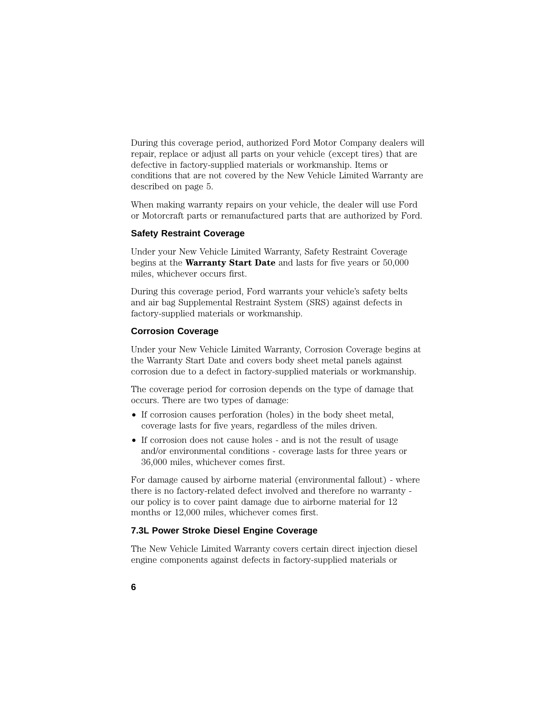During this coverage period, authorized Ford Motor Company dealers will repair, replace or adjust all parts on your vehicle (except tires) that are defective in factory-supplied materials or workmanship. Items or conditions that are not covered by the New Vehicle Limited Warranty are described on page 5.

When making warranty repairs on your vehicle, the dealer will use Ford or Motorcraft parts or remanufactured parts that are authorized by Ford.

## **Safety Restraint Coverage**

Under your New Vehicle Limited Warranty, Safety Restraint Coverage begins at the **Warranty Start Date** and lasts for five years or 50,000 miles, whichever occurs first.

During this coverage period, Ford warrants your vehicle's safety belts and air bag Supplemental Restraint System (SRS) against defects in factory-supplied materials or workmanship.

### **Corrosion Coverage**

Under your New Vehicle Limited Warranty, Corrosion Coverage begins at the Warranty Start Date and covers body sheet metal panels against corrosion due to a defect in factory-supplied materials or workmanship.

The coverage period for corrosion depends on the type of damage that occurs. There are two types of damage:

- If corrosion causes perforation (holes) in the body sheet metal, coverage lasts for five years, regardless of the miles driven.
- If corrosion does not cause holes and is not the result of usage and/or environmental conditions - coverage lasts for three years or 36,000 miles, whichever comes first.

For damage caused by airborne material (environmental fallout) - where there is no factory-related defect involved and therefore no warranty our policy is to cover paint damage due to airborne material for 12 months or 12,000 miles, whichever comes first.

## **7.3L Power Stroke Diesel Engine Coverage**

The New Vehicle Limited Warranty covers certain direct injection diesel engine components against defects in factory-supplied materials or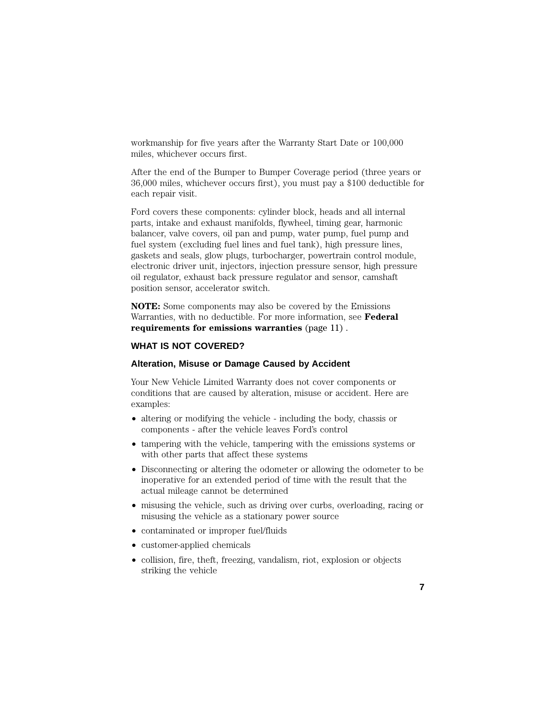workmanship for five years after the Warranty Start Date or 100,000 miles, whichever occurs first.

After the end of the Bumper to Bumper Coverage period (three years or 36,000 miles, whichever occurs first), you must pay a \$100 deductible for each repair visit.

Ford covers these components: cylinder block, heads and all internal parts, intake and exhaust manifolds, flywheel, timing gear, harmonic balancer, valve covers, oil pan and pump, water pump, fuel pump and fuel system (excluding fuel lines and fuel tank), high pressure lines, gaskets and seals, glow plugs, turbocharger, powertrain control module, electronic driver unit, injectors, injection pressure sensor, high pressure oil regulator, exhaust back pressure regulator and sensor, camshaft position sensor, accelerator switch.

**NOTE:** Some components may also be covered by the Emissions Warranties, with no deductible. For more information, see **Federal requirements for emissions warranties** (page 11) .

## **WHAT IS NOT COVERED?**

## **Alteration, Misuse or Damage Caused by Accident**

Your New Vehicle Limited Warranty does not cover components or conditions that are caused by alteration, misuse or accident. Here are examples:

- altering or modifying the vehicle including the body, chassis or components - after the vehicle leaves Ford's control
- tampering with the vehicle, tampering with the emissions systems or with other parts that affect these systems
- Disconnecting or altering the odometer or allowing the odometer to be inoperative for an extended period of time with the result that the actual mileage cannot be determined
- misusing the vehicle, such as driving over curbs, overloading, racing or misusing the vehicle as a stationary power source
- contaminated or improper fuel/fluids
- customer-applied chemicals
- collision, fire, theft, freezing, vandalism, riot, explosion or objects striking the vehicle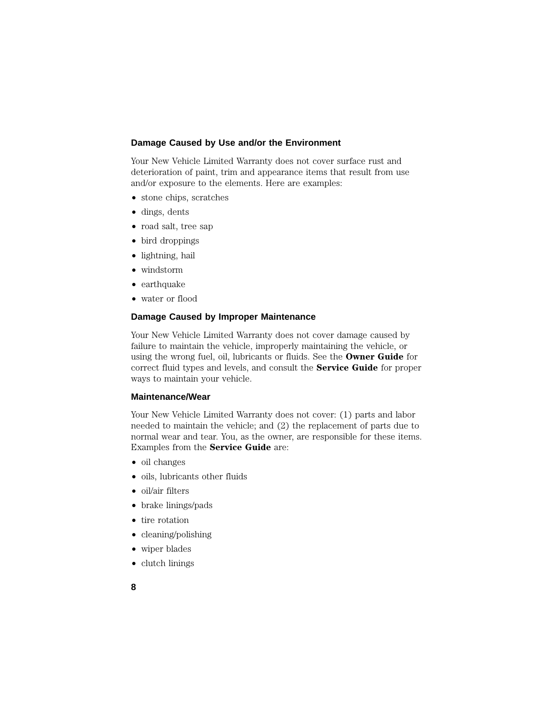## **Damage Caused by Use and/or the Environment**

Your New Vehicle Limited Warranty does not cover surface rust and deterioration of paint, trim and appearance items that result from use and/or exposure to the elements. Here are examples:

- stone chips, scratches
- dings, dents
- road salt, tree sap
- bird droppings
- lightning, hail
- windstorm
- earthquake
- water or flood

### **Damage Caused by Improper Maintenance**

Your New Vehicle Limited Warranty does not cover damage caused by failure to maintain the vehicle, improperly maintaining the vehicle, or using the wrong fuel, oil, lubricants or fluids. See the **Owner Guide** for correct fluid types and levels, and consult the **Service Guide** for proper ways to maintain your vehicle.

#### **Maintenance/Wear**

Your New Vehicle Limited Warranty does not cover: (1) parts and labor needed to maintain the vehicle; and (2) the replacement of parts due to normal wear and tear. You, as the owner, are responsible for these items. Examples from the **Service Guide** are:

- oil changes
- oils, lubricants other fluids
- oil/air filters
- brake linings/pads
- tire rotation
- cleaning/polishing
- wiper blades
- clutch linings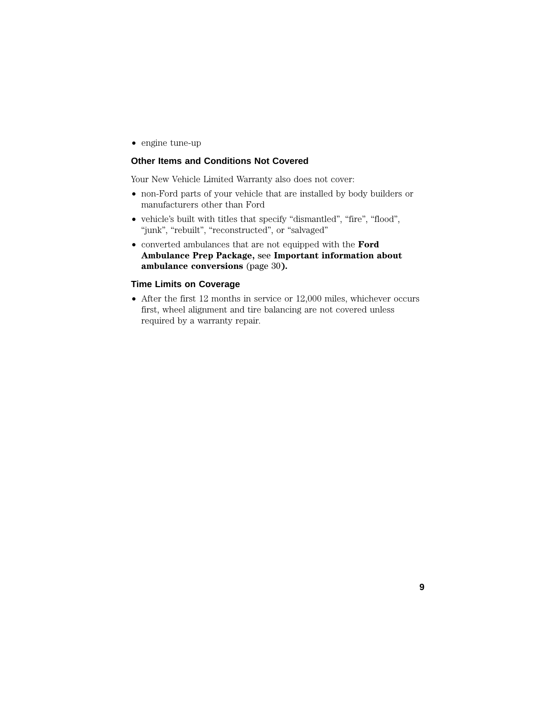• engine tune-up

## **Other Items and Conditions Not Covered**

Your New Vehicle Limited Warranty also does not cover:

- non-Ford parts of your vehicle that are installed by body builders or manufacturers other than Ford
- vehicle's built with titles that specify "dismantled", "fire", "flood", "junk", "rebuilt", "reconstructed", or "salvaged"
- converted ambulances that are not equipped with the **Ford Ambulance Prep Package,** see **Important information about ambulance conversions** (page 30**).**

### **Time Limits on Coverage**

• After the first 12 months in service or 12,000 miles, whichever occurs first, wheel alignment and tire balancing are not covered unless required by a warranty repair.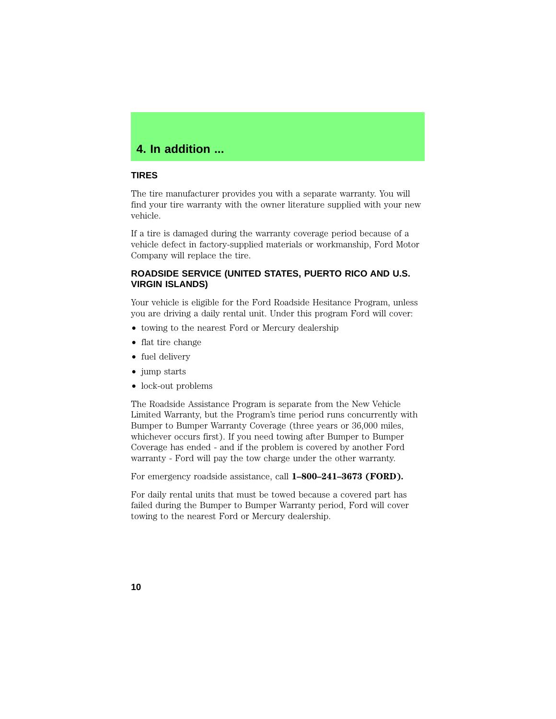# **4. In addition ...**

## **TIRES**

The tire manufacturer provides you with a separate warranty. You will find your tire warranty with the owner literature supplied with your new vehicle.

If a tire is damaged during the warranty coverage period because of a vehicle defect in factory-supplied materials or workmanship, Ford Motor Company will replace the tire.

## **ROADSIDE SERVICE (UNITED STATES, PUERTO RICO AND U.S. VIRGIN ISLANDS)**

Your vehicle is eligible for the Ford Roadside Hesitance Program, unless you are driving a daily rental unit. Under this program Ford will cover:

- towing to the nearest Ford or Mercury dealership
- flat tire change
- fuel delivery
- jump starts
- lock-out problems

The Roadside Assistance Program is separate from the New Vehicle Limited Warranty, but the Program's time period runs concurrently with Bumper to Bumper Warranty Coverage (three years or 36,000 miles, whichever occurs first). If you need towing after Bumper to Bumper Coverage has ended - and if the problem is covered by another Ford warranty - Ford will pay the tow charge under the other warranty.

For emergency roadside assistance, call **1–800–241–3673 (FORD).**

For daily rental units that must be towed because a covered part has failed during the Bumper to Bumper Warranty period, Ford will cover towing to the nearest Ford or Mercury dealership.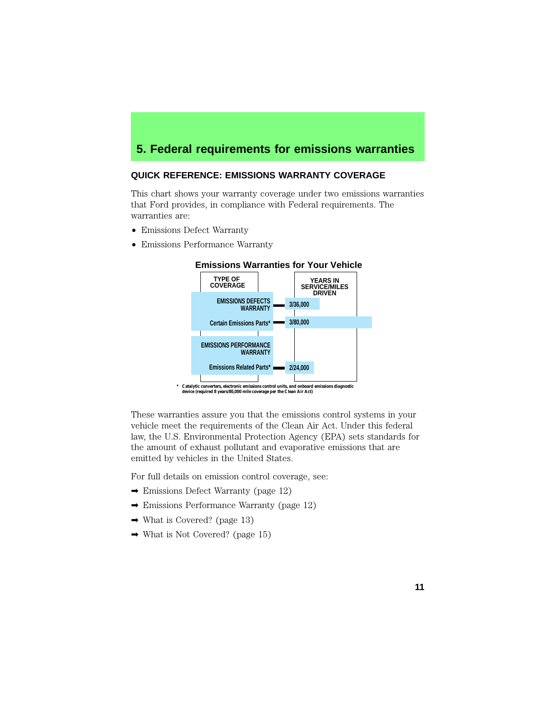# **5. Federal requirements for emissions warranties**

## **QUICK REFERENCE: EMISSIONS WARRANTY COVERAGE**

This chart shows your warranty coverage under two emissions warranties that Ford provides, in compliance with Federal requirements. The warranties are:

- Emissions Defect Warranty
- Emissions Performance Warranty



These warranties assure you that the emissions control systems in your vehicle meet the requirements of the Clean Air Act. Under this federal law, the U.S. Environmental Protection Agency (EPA) sets standards for the amount of exhaust pollutant and evaporative emissions that are emitted by vehicles in the United States.

For full details on emission control coverage, see:

- ➡ Emissions Defect Warranty (page 12)
- ➡ Emissions Performance Warranty (page 12)
- $\rightarrow$  What is Covered? (page 13)
- $\rightarrow$  What is Not Covered? (page 15)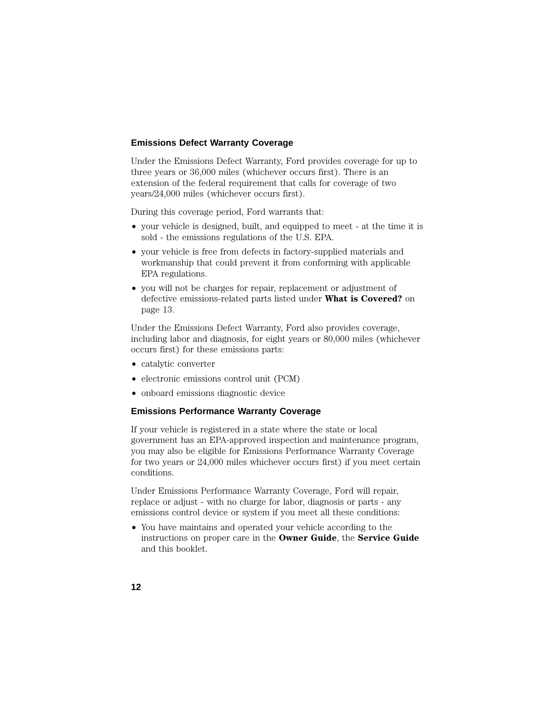## **Emissions Defect Warranty Coverage**

Under the Emissions Defect Warranty, Ford provides coverage for up to three years or 36,000 miles (whichever occurs first). There is an extension of the federal requirement that calls for coverage of two years/24,000 miles (whichever occurs first).

During this coverage period, Ford warrants that:

- your vehicle is designed, built, and equipped to meet at the time it is sold - the emissions regulations of the U.S. EPA.
- your vehicle is free from defects in factory-supplied materials and workmanship that could prevent it from conforming with applicable EPA regulations.
- you will not be charges for repair, replacement or adjustment of defective emissions-related parts listed under **What is Covered?** on page 13.

Under the Emissions Defect Warranty, Ford also provides coverage, including labor and diagnosis, for eight years or 80,000 miles (whichever occurs first) for these emissions parts:

- catalytic converter
- electronic emissions control unit (PCM)
- onboard emissions diagnostic device

## **Emissions Performance Warranty Coverage**

If your vehicle is registered in a state where the state or local government has an EPA-approved inspection and maintenance program, you may also be eligible for Emissions Performance Warranty Coverage for two years or 24,000 miles whichever occurs first) if you meet certain conditions.

Under Emissions Performance Warranty Coverage, Ford will repair, replace or adjust - with no charge for labor, diagnosis or parts - any emissions control device or system if you meet all these conditions:

• You have maintains and operated your vehicle according to the instructions on proper care in the **Owner Guide**, the **Service Guide** and this booklet.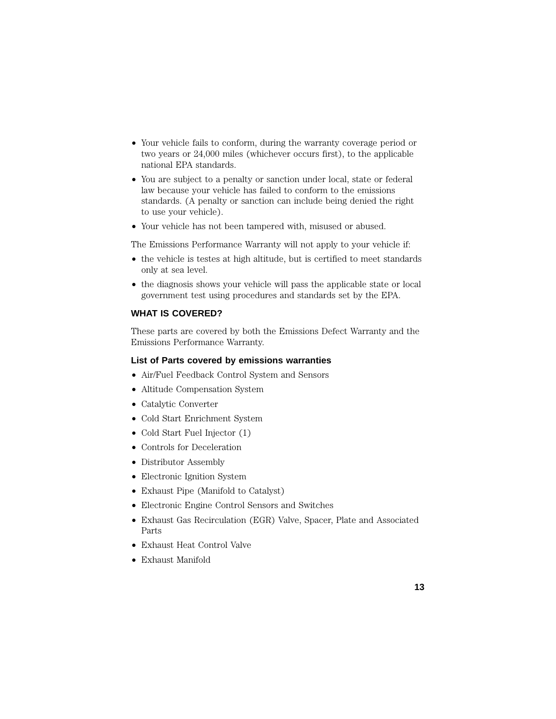- Your vehicle fails to conform, during the warranty coverage period or two years or 24,000 miles (whichever occurs first), to the applicable national EPA standards.
- You are subject to a penalty or sanction under local, state or federal law because your vehicle has failed to conform to the emissions standards. (A penalty or sanction can include being denied the right to use your vehicle).
- Your vehicle has not been tampered with, misused or abused.

The Emissions Performance Warranty will not apply to your vehicle if:

- the vehicle is testes at high altitude, but is certified to meet standards only at sea level.
- the diagnosis shows your vehicle will pass the applicable state or local government test using procedures and standards set by the EPA.

## **WHAT IS COVERED?**

These parts are covered by both the Emissions Defect Warranty and the Emissions Performance Warranty.

## **List of Parts covered by emissions warranties**

- Air/Fuel Feedback Control System and Sensors
- Altitude Compensation System
- Catalytic Converter
- Cold Start Enrichment System
- Cold Start Fuel Injector (1)
- Controls for Deceleration
- Distributor Assembly
- Electronic Ignition System
- Exhaust Pipe (Manifold to Catalyst)
- Electronic Engine Control Sensors and Switches
- Exhaust Gas Recirculation (EGR) Valve, Spacer, Plate and Associated Parts
- Exhaust Heat Control Valve
- Exhaust Manifold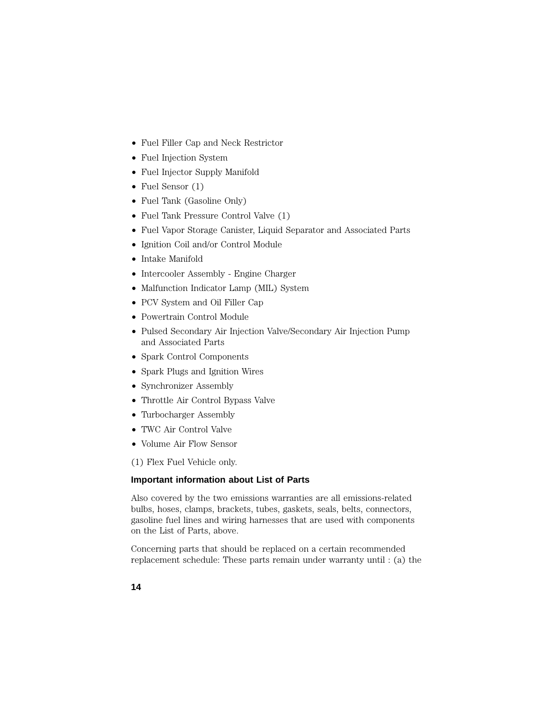- Fuel Filler Cap and Neck Restrictor
- Fuel Injection System
- Fuel Injector Supply Manifold
- Fuel Sensor (1)
- Fuel Tank (Gasoline Only)
- Fuel Tank Pressure Control Valve (1)
- Fuel Vapor Storage Canister, Liquid Separator and Associated Parts
- Ignition Coil and/or Control Module
- Intake Manifold
- Intercooler Assembly Engine Charger
- Malfunction Indicator Lamp (MIL) System
- PCV System and Oil Filler Cap
- Powertrain Control Module
- Pulsed Secondary Air Injection Valve/Secondary Air Injection Pump and Associated Parts
- Spark Control Components
- Spark Plugs and Ignition Wires
- Synchronizer Assembly
- Throttle Air Control Bypass Valve
- Turbocharger Assembly
- TWC Air Control Valve
- Volume Air Flow Sensor
- (1) Flex Fuel Vehicle only.

## **Important information about List of Parts**

Also covered by the two emissions warranties are all emissions-related bulbs, hoses, clamps, brackets, tubes, gaskets, seals, belts, connectors, gasoline fuel lines and wiring harnesses that are used with components on the List of Parts, above.

Concerning parts that should be replaced on a certain recommended replacement schedule: These parts remain under warranty until : (a) the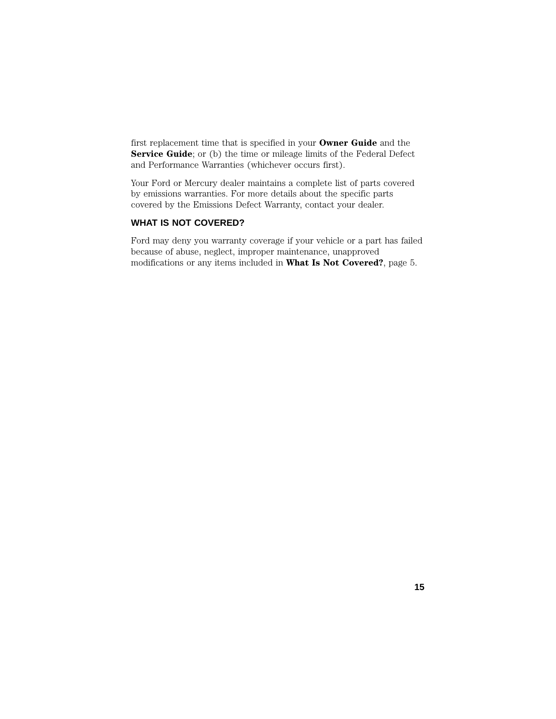first replacement time that is specified in your **Owner Guide** and the **Service Guide**; or (b) the time or mileage limits of the Federal Defect and Performance Warranties (whichever occurs first).

Your Ford or Mercury dealer maintains a complete list of parts covered by emissions warranties. For more details about the specific parts covered by the Emissions Defect Warranty, contact your dealer.

## **WHAT IS NOT COVERED?**

Ford may deny you warranty coverage if your vehicle or a part has failed because of abuse, neglect, improper maintenance, unapproved modifications or any items included in **What Is Not Covered?**, page 5.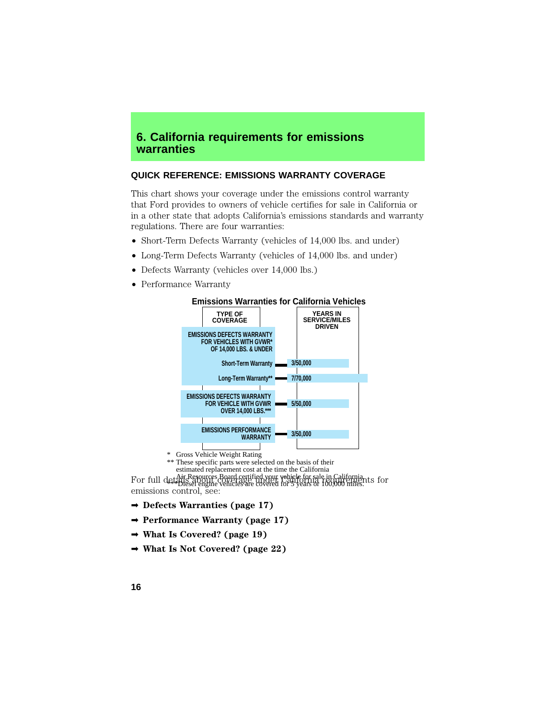# **6. California requirements for emissions warranties**

## **QUICK REFERENCE: EMISSIONS WARRANTY COVERAGE**

This chart shows your coverage under the emissions control warranty that Ford provides to owners of vehicle certifies for sale in California or in a other state that adopts California's emissions standards and warranty regulations. There are four warranties:

- Short-Term Defects Warranty (vehicles of 14,000 lbs. and under)
- Long-Term Defects Warranty (vehicles of 14,000 lbs. and under)
- Defects Warranty (vehicles over 14,000 lbs.)
- Performance Warranty



#### **Emissions Warranties for California Vehicles**

For full details about ces Board certified your vehicle for sale in California.<br>For full details about constages under totalloring forming unter the form emissions control, see: estimated replacement cost at the time the California \*\*\*Diesel engine vehicles are covered for 5 years or 100,000 miles.

\*\* These specific parts were selected on the basis of their

- ➡ **Defects Warranties (page 17)**
- ➡ **Performance Warranty (page 17)**
- ➡ **What Is Covered? (page 19)**
- ➡ **What Is Not Covered? (page 22)**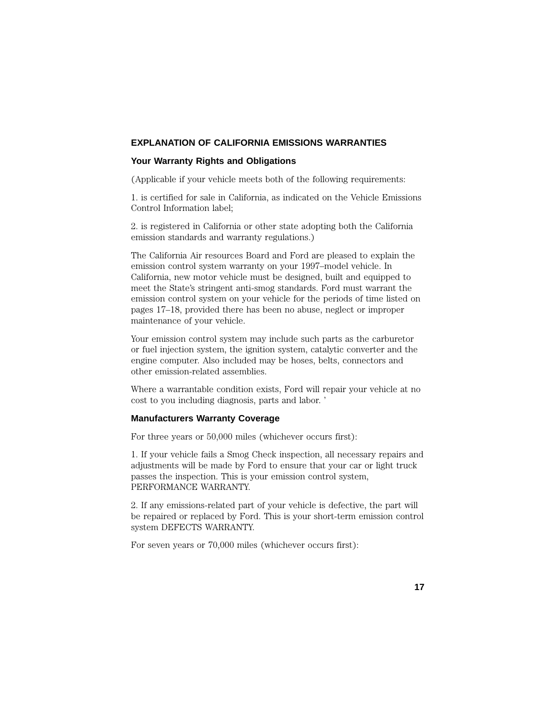## **EXPLANATION OF CALIFORNIA EMISSIONS WARRANTIES**

## **Your Warranty Rights and Obligations**

(Applicable if your vehicle meets both of the following requirements:

1. is certified for sale in California, as indicated on the Vehicle Emissions Control Information label;

2. is registered in California or other state adopting both the California emission standards and warranty regulations.)

The California Air resources Board and Ford are pleased to explain the emission control system warranty on your 1997–model vehicle. In California, new motor vehicle must be designed, built and equipped to meet the State's stringent anti-smog standards. Ford must warrant the emission control system on your vehicle for the periods of time listed on pages 17–18, provided there has been no abuse, neglect or improper maintenance of your vehicle.

Your emission control system may include such parts as the carburetor or fuel injection system, the ignition system, catalytic converter and the engine computer. Also included may be hoses, belts, connectors and other emission-related assemblies.

Where a warrantable condition exists, Ford will repair your vehicle at no cost to you including diagnosis, parts and labor. '

## **Manufacturers Warranty Coverage**

For three years or 50,000 miles (whichever occurs first):

1. If your vehicle fails a Smog Check inspection, all necessary repairs and adjustments will be made by Ford to ensure that your car or light truck passes the inspection. This is your emission control system, PERFORMANCE WARRANTY.

2. If any emissions-related part of your vehicle is defective, the part will be repaired or replaced by Ford. This is your short-term emission control system DEFECTS WARRANTY.

For seven years or 70,000 miles (whichever occurs first):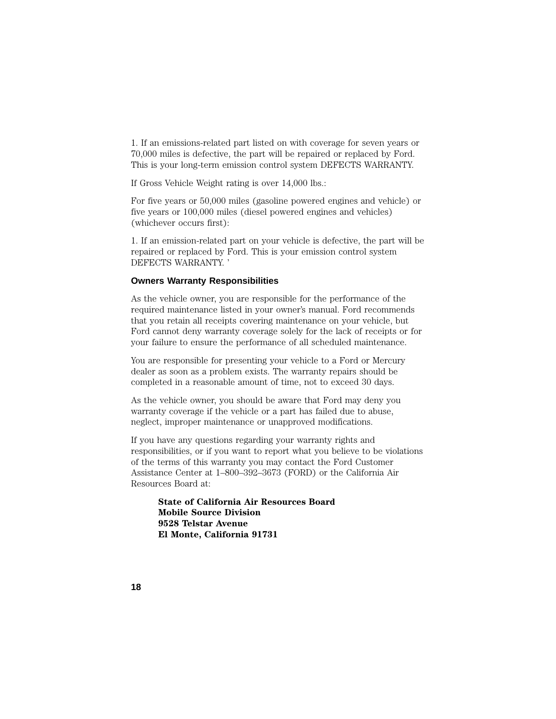1. If an emissions-related part listed on with coverage for seven years or 70,000 miles is defective, the part will be repaired or replaced by Ford. This is your long-term emission control system DEFECTS WARRANTY.

If Gross Vehicle Weight rating is over 14,000 lbs.:

For five years or 50,000 miles (gasoline powered engines and vehicle) or five years or 100,000 miles (diesel powered engines and vehicles) (whichever occurs first):

1. If an emission-related part on your vehicle is defective, the part will be repaired or replaced by Ford. This is your emission control system DEFECTS WARRANTY. '

### **Owners Warranty Responsibilities**

As the vehicle owner, you are responsible for the performance of the required maintenance listed in your owner's manual. Ford recommends that you retain all receipts covering maintenance on your vehicle, but Ford cannot deny warranty coverage solely for the lack of receipts or for your failure to ensure the performance of all scheduled maintenance.

You are responsible for presenting your vehicle to a Ford or Mercury dealer as soon as a problem exists. The warranty repairs should be completed in a reasonable amount of time, not to exceed 30 days.

As the vehicle owner, you should be aware that Ford may deny you warranty coverage if the vehicle or a part has failed due to abuse, neglect, improper maintenance or unapproved modifications.

If you have any questions regarding your warranty rights and responsibilities, or if you want to report what you believe to be violations of the terms of this warranty you may contact the Ford Customer Assistance Center at 1–800–392–3673 (FORD) or the California Air Resources Board at:

**State of California Air Resources Board Mobile Source Division 9528 Telstar Avenue El Monte, California 91731**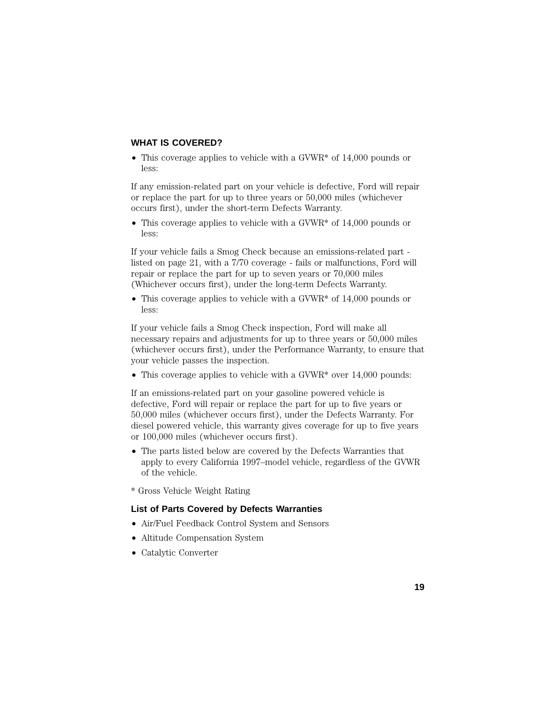## **WHAT IS COVERED?**

• This coverage applies to vehicle with a GVWR\* of 14,000 pounds or less:

If any emission-related part on your vehicle is defective, Ford will repair or replace the part for up to three years or 50,000 miles (whichever occurs first), under the short-term Defects Warranty.

• This coverage applies to vehicle with a GVWR<sup>\*</sup> of 14,000 pounds or less:

If your vehicle fails a Smog Check because an emissions-related part listed on page 21, with a 7/70 coverage - fails or malfunctions, Ford will repair or replace the part for up to seven years or 70,000 miles (Whichever occurs first), under the long-term Defects Warranty.

• This coverage applies to vehicle with a GVWR<sup>\*</sup> of 14,000 pounds or less:

If your vehicle fails a Smog Check inspection, Ford will make all necessary repairs and adjustments for up to three years or 50,000 miles (whichever occurs first), under the Performance Warranty, to ensure that your vehicle passes the inspection.

• This coverage applies to vehicle with a GVWR<sup>\*</sup> over 14,000 pounds:

If an emissions-related part on your gasoline powered vehicle is defective, Ford will repair or replace the part for up to five years or 50,000 miles (whichever occurs first), under the Defects Warranty. For diesel powered vehicle, this warranty gives coverage for up to five years or 100,000 miles (whichever occurs first).

- The parts listed below are covered by the Defects Warranties that apply to every California 1997–model vehicle, regardless of the GVWR of the vehicle.
- \* Gross Vehicle Weight Rating

## **List of Parts Covered by Defects Warranties**

- Air/Fuel Feedback Control System and Sensors
- Altitude Compensation System
- Catalytic Converter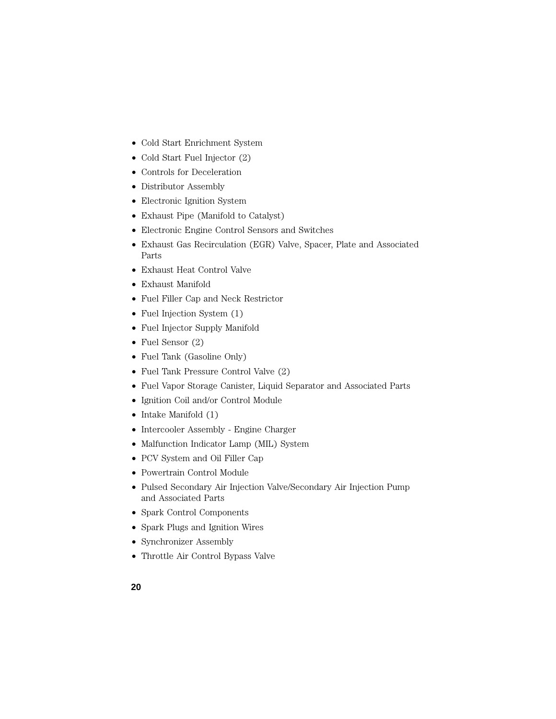- Cold Start Enrichment System
- Cold Start Fuel Injector (2)
- Controls for Deceleration
- Distributor Assembly
- Electronic Ignition System
- Exhaust Pipe (Manifold to Catalyst)
- Electronic Engine Control Sensors and Switches
- Exhaust Gas Recirculation (EGR) Valve, Spacer, Plate and Associated Parts
- Exhaust Heat Control Valve
- Exhaust Manifold
- Fuel Filler Cap and Neck Restrictor
- Fuel Injection System  $(1)$
- Fuel Injector Supply Manifold
- Fuel Sensor (2)
- Fuel Tank (Gasoline Only)
- Fuel Tank Pressure Control Valve (2)
- Fuel Vapor Storage Canister, Liquid Separator and Associated Parts
- Ignition Coil and/or Control Module
- Intake Manifold (1)
- Intercooler Assembly Engine Charger
- Malfunction Indicator Lamp (MIL) System
- PCV System and Oil Filler Cap
- Powertrain Control Module
- Pulsed Secondary Air Injection Valve/Secondary Air Injection Pump and Associated Parts
- Spark Control Components
- Spark Plugs and Ignition Wires
- Synchronizer Assembly
- Throttle Air Control Bypass Valve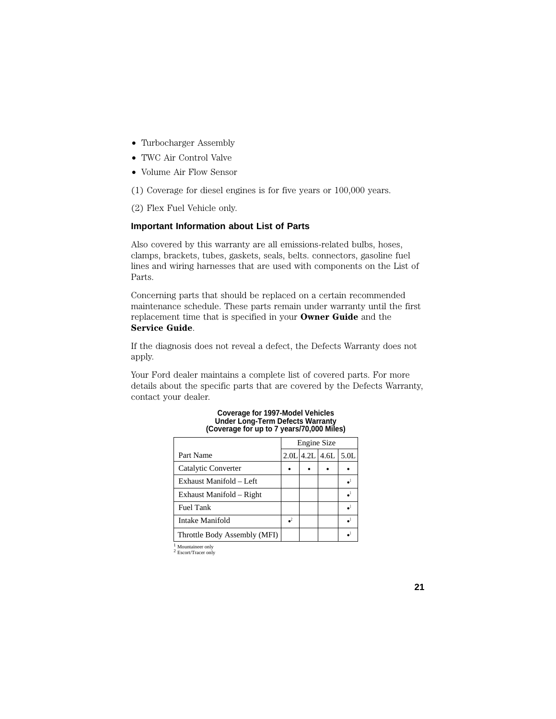- Turbocharger Assembly
- TWC Air Control Valve
- Volume Air Flow Sensor

(1) Coverage for diesel engines is for five years or 100,000 years.

(2) Flex Fuel Vehicle only.

## **Important Information about List of Parts**

Also covered by this warranty are all emissions-related bulbs, hoses, clamps, brackets, tubes, gaskets, seals, belts. connectors, gasoline fuel lines and wiring harnesses that are used with components on the List of Parts.

Concerning parts that should be replaced on a certain recommended maintenance schedule. These parts remain under warranty until the first replacement time that is specified in your **Owner Guide** and the **Service Guide**.

If the diagnosis does not reveal a defect, the Defects Warranty does not apply.

Your Ford dealer maintains a complete list of covered parts. For more details about the specific parts that are covered by the Defects Warranty, contact your dealer.

|                              | Engine Size |             |      |                  |
|------------------------------|-------------|-------------|------|------------------|
| Part Name                    |             | $2.0L$ 4.2L | 4.6L | 5.0 <sub>L</sub> |
| Catalytic Converter          |             |             |      |                  |
| Exhaust Manifold – Left      |             |             |      |                  |
| Exhaust Manifold – Right     |             |             |      |                  |
| <b>Fuel Tank</b>             |             |             |      |                  |
| Intake Manifold              |             |             |      |                  |
| Throttle Body Assembly (MFI) |             |             |      |                  |

#### **Coverage for 1997-Model Vehicles Under Long-Term Defects Warranty (Coverage for up to 7 years/70,000 Miles)**

 $\frac{1}{2}$ Mountaineer only  $\frac{1}{2}$  Escort/Tracer only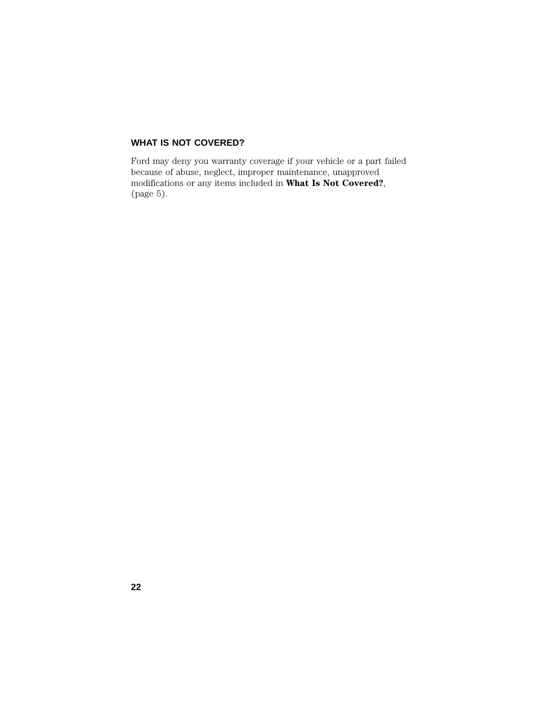## **WHAT IS NOT COVERED?**

Ford may deny you warranty coverage if your vehicle or a part failed because of abuse, neglect, improper maintenance, unapproved modifications or any items included in **What Is Not Covered?**, (page 5).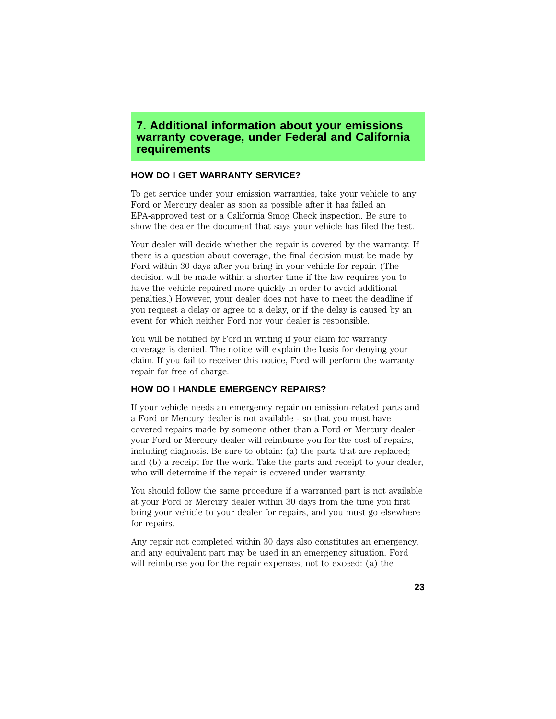## **7. Additional information about your emissions warranty coverage, under Federal and California requirements**

## **HOW DO I GET WARRANTY SERVICE?**

To get service under your emission warranties, take your vehicle to any Ford or Mercury dealer as soon as possible after it has failed an EPA-approved test or a California Smog Check inspection. Be sure to show the dealer the document that says your vehicle has filed the test.

Your dealer will decide whether the repair is covered by the warranty. If there is a question about coverage, the final decision must be made by Ford within 30 days after you bring in your vehicle for repair. (The decision will be made within a shorter time if the law requires you to have the vehicle repaired more quickly in order to avoid additional penalties.) However, your dealer does not have to meet the deadline if you request a delay or agree to a delay, or if the delay is caused by an event for which neither Ford nor your dealer is responsible.

You will be notified by Ford in writing if your claim for warranty coverage is denied. The notice will explain the basis for denying your claim. If you fail to receiver this notice, Ford will perform the warranty repair for free of charge.

## **HOW DO I HANDLE EMERGENCY REPAIRS?**

If your vehicle needs an emergency repair on emission-related parts and a Ford or Mercury dealer is not available - so that you must have covered repairs made by someone other than a Ford or Mercury dealer your Ford or Mercury dealer will reimburse you for the cost of repairs, including diagnosis. Be sure to obtain: (a) the parts that are replaced; and (b) a receipt for the work. Take the parts and receipt to your dealer, who will determine if the repair is covered under warranty.

You should follow the same procedure if a warranted part is not available at your Ford or Mercury dealer within 30 days from the time you first bring your vehicle to your dealer for repairs, and you must go elsewhere for repairs.

Any repair not completed within 30 days also constitutes an emergency, and any equivalent part may be used in an emergency situation. Ford will reimburse you for the repair expenses, not to exceed: (a) the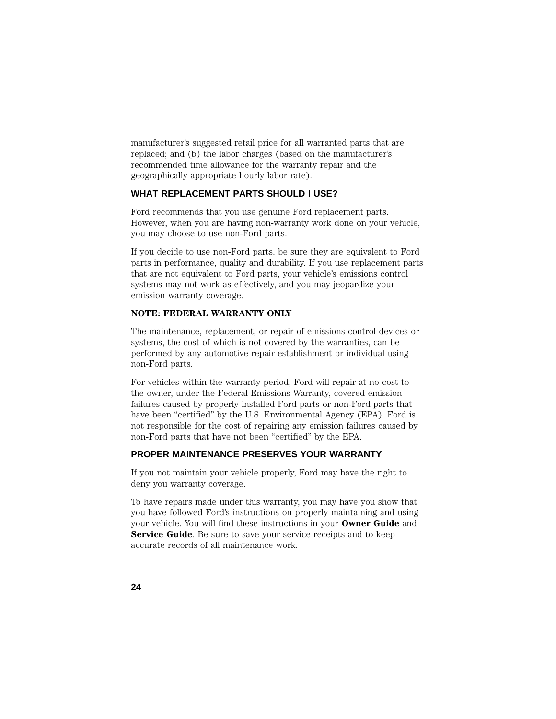manufacturer's suggested retail price for all warranted parts that are replaced; and (b) the labor charges (based on the manufacturer's recommended time allowance for the warranty repair and the geographically appropriate hourly labor rate).

## **WHAT REPLACEMENT PARTS SHOULD I USE?**

Ford recommends that you use genuine Ford replacement parts. However, when you are having non-warranty work done on your vehicle, you may choose to use non-Ford parts.

If you decide to use non-Ford parts. be sure they are equivalent to Ford parts in performance, quality and durability. If you use replacement parts that are not equivalent to Ford parts, your vehicle's emissions control systems may not work as effectively, and you may jeopardize your emission warranty coverage.

## **NOTE: FEDERAL WARRANTY ONLY**

The maintenance, replacement, or repair of emissions control devices or systems, the cost of which is not covered by the warranties, can be performed by any automotive repair establishment or individual using non-Ford parts.

For vehicles within the warranty period, Ford will repair at no cost to the owner, under the Federal Emissions Warranty, covered emission failures caused by properly installed Ford parts or non-Ford parts that have been "certified" by the U.S. Environmental Agency (EPA). Ford is not responsible for the cost of repairing any emission failures caused by non-Ford parts that have not been "certified" by the EPA.

## **PROPER MAINTENANCE PRESERVES YOUR WARRANTY**

If you not maintain your vehicle properly, Ford may have the right to deny you warranty coverage.

To have repairs made under this warranty, you may have you show that you have followed Ford's instructions on properly maintaining and using your vehicle. You will find these instructions in your **Owner Guide** and **Service Guide**. Be sure to save your service receipts and to keep accurate records of all maintenance work.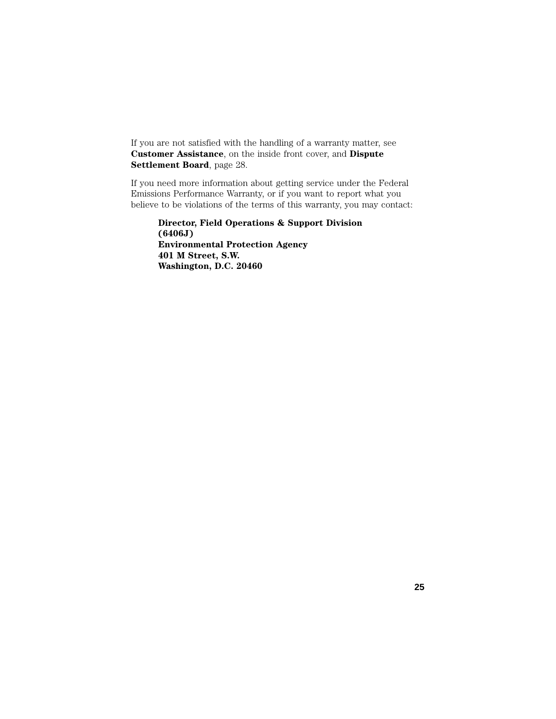If you are not satisfied with the handling of a warranty matter, see **Customer Assistance**, on the inside front cover, and **Dispute Settlement Board**, page 28.

If you need more information about getting service under the Federal Emissions Performance Warranty, or if you want to report what you believe to be violations of the terms of this warranty, you may contact:

**Director, Field Operations & Support Division (6406J) Environmental Protection Agency 401 M Street, S.W. Washington, D.C. 20460**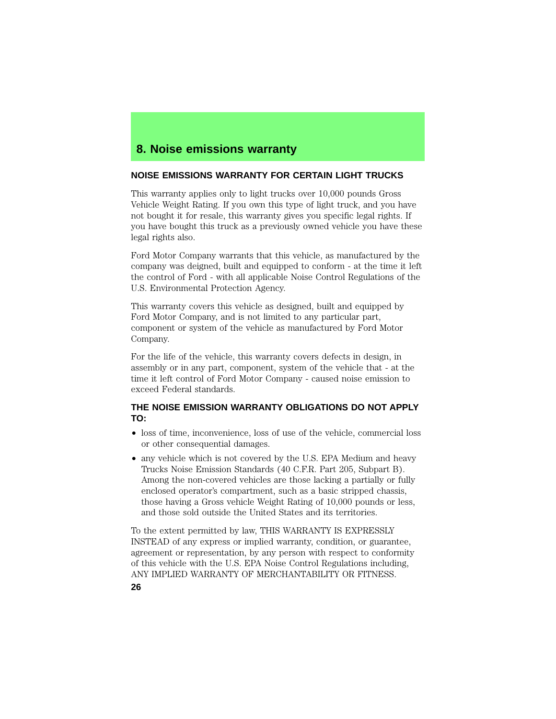# **8. Noise emissions warranty**

### **NOISE EMISSIONS WARRANTY FOR CERTAIN LIGHT TRUCKS**

This warranty applies only to light trucks over 10,000 pounds Gross Vehicle Weight Rating. If you own this type of light truck, and you have not bought it for resale, this warranty gives you specific legal rights. If you have bought this truck as a previously owned vehicle you have these legal rights also.

Ford Motor Company warrants that this vehicle, as manufactured by the company was deigned, built and equipped to conform - at the time it left the control of Ford - with all applicable Noise Control Regulations of the U.S. Environmental Protection Agency.

This warranty covers this vehicle as designed, built and equipped by Ford Motor Company, and is not limited to any particular part, component or system of the vehicle as manufactured by Ford Motor Company.

For the life of the vehicle, this warranty covers defects in design, in assembly or in any part, component, system of the vehicle that - at the time it left control of Ford Motor Company - caused noise emission to exceed Federal standards.

### **THE NOISE EMISSION WARRANTY OBLIGATIONS DO NOT APPLY TO:**

- loss of time, inconvenience, loss of use of the vehicle, commercial loss or other consequential damages.
- any vehicle which is not covered by the U.S. EPA Medium and heavy Trucks Noise Emission Standards (40 C.F.R. Part 205, Subpart B). Among the non-covered vehicles are those lacking a partially or fully enclosed operator's compartment, such as a basic stripped chassis, those having a Gross vehicle Weight Rating of 10,000 pounds or less, and those sold outside the United States and its territories.

To the extent permitted by law, THIS WARRANTY IS EXPRESSLY INSTEAD of any express or implied warranty, condition, or guarantee, agreement or representation, by any person with respect to conformity of this vehicle with the U.S. EPA Noise Control Regulations including, ANY IMPLIED WARRANTY OF MERCHANTABILITY OR FITNESS.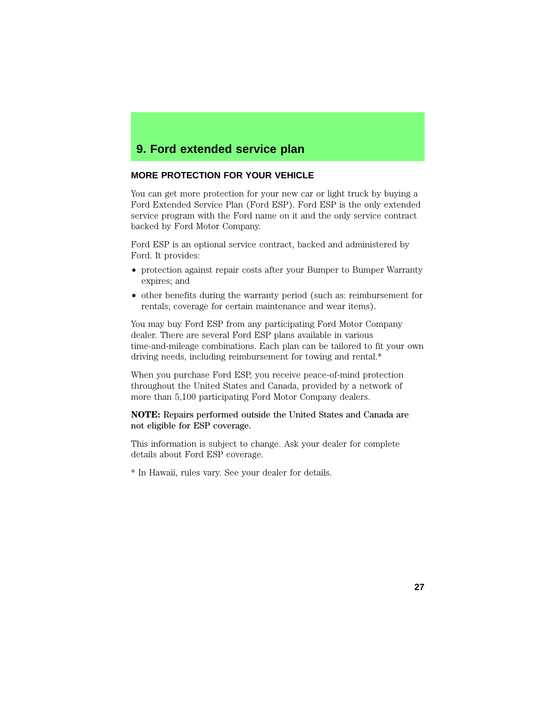# **9. Ford extended service plan**

## **MORE PROTECTION FOR YOUR VEHICLE**

You can get more protection for your new car or light truck by buying a Ford Extended Service Plan (Ford ESP). Ford ESP is the only extended service program with the Ford name on it and the only service contract backed by Ford Motor Company.

Ford ESP is an optional service contract, backed and administered by Ford. It provides:

- protection against repair costs after your Bumper to Bumper Warranty expires; and
- other benefits during the warranty period (such as: reimbursement for rentals; coverage for certain maintenance and wear items).

You may buy Ford ESP from any participating Ford Motor Company dealer. There are several Ford ESP plans available in various time-and-mileage combinations. Each plan can be tailored to fit your own driving needs, including reimbursement for towing and rental.\*

When you purchase Ford ESP, you receive peace-of-mind protection throughout the United States and Canada, provided by a network of more than 5,100 participating Ford Motor Company dealers.

#### **NOTE:** Repairs performed outside the United States and Canada are not eligible for ESP coverage.

This information is subject to change. Ask your dealer for complete details about Ford ESP coverage.

\* In Hawaii, rules vary. See your dealer for details.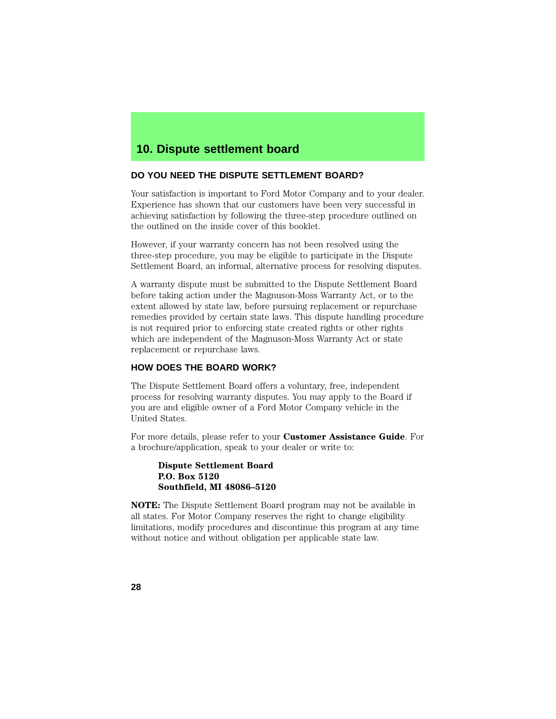## **DO YOU NEED THE DISPUTE SETTLEMENT BOARD?**

Your satisfaction is important to Ford Motor Company and to your dealer. Experience has shown that our customers have been very successful in achieving satisfaction by following the three-step procedure outlined on the outlined on the inside cover of this booklet.

However, if your warranty concern has not been resolved using the three-step procedure, you may be eligible to participate in the Dispute Settlement Board, an informal, alternative process for resolving disputes.

A warranty dispute must be submitted to the Dispute Settlement Board before taking action under the Magnuson-Moss Warranty Act, or to the extent allowed by state law, before pursuing replacement or repurchase remedies provided by certain state laws. This dispute handling procedure is not required prior to enforcing state created rights or other rights which are independent of the Magnuson-Moss Warranty Act or state replacement or repurchase laws.

## **HOW DOES THE BOARD WORK?**

The Dispute Settlement Board offers a voluntary, free, independent process for resolving warranty disputes. You may apply to the Board if you are and eligible owner of a Ford Motor Company vehicle in the United States.

For more details, please refer to your **Customer Assistance Guide**. For a brochure/application, speak to your dealer or write to:

#### **Dispute Settlement Board P.O. Box 5120 Southfield, MI 48086–5120**

**NOTE:** The Dispute Settlement Board program may not be available in all states. For Motor Company reserves the right to change eligibility limitations, modify procedures and discontinue this program at any time without notice and without obligation per applicable state law.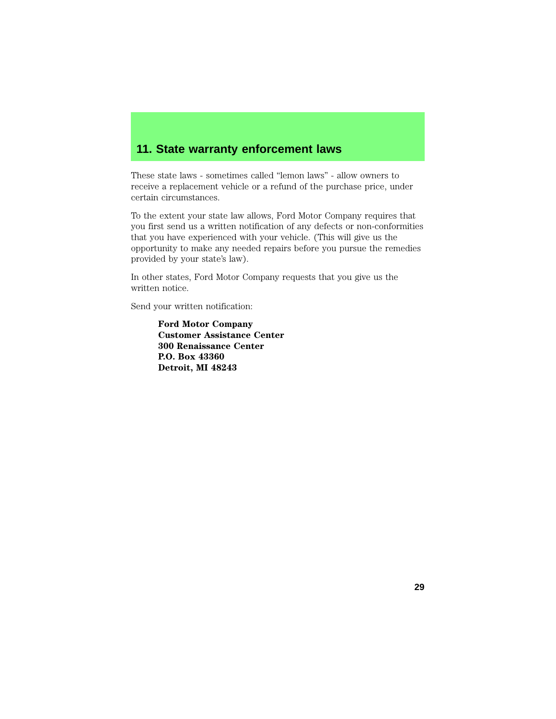# **11. State warranty enforcement laws**

These state laws - sometimes called "lemon laws" - allow owners to receive a replacement vehicle or a refund of the purchase price, under certain circumstances.

To the extent your state law allows, Ford Motor Company requires that you first send us a written notification of any defects or non-conformities that you have experienced with your vehicle. (This will give us the opportunity to make any needed repairs before you pursue the remedies provided by your state's law).

In other states, Ford Motor Company requests that you give us the written notice.

Send your written notification:

**Ford Motor Company Customer Assistance Center 300 Renaissance Center P.O. Box 43360 Detroit, MI 48243**